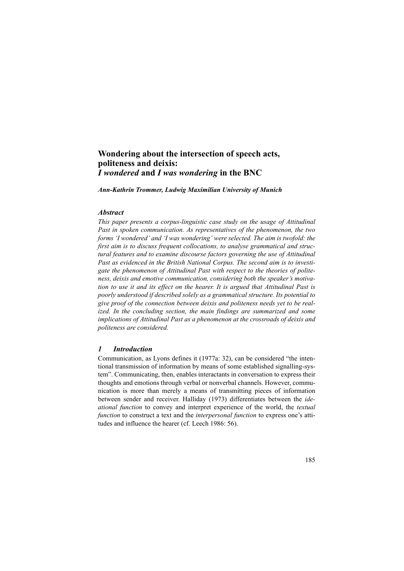# **Wondering about the intersection of speech acts, politeness and deixis:**  *I wondered* **and** *I was wondering* **in the BNC**

*Ann-Kathrin Trommer, Ludwig Maximilian University of Munich*

#### *Abstract*

*This paper presents a corpus-linguistic case study on the usage of Attitudinal Past in spoken communication. As representatives of the phenomenon, the two forms 'I wondered' and 'I was wondering' were selected. The aim is twofold: the first aim is to discuss frequent collocations, to analyse grammatical and structural features and to examine discourse factors governing the use of Attitudinal Past as evidenced in the British National Corpus. The second aim is to investigate the phenomenon of Attitudinal Past with respect to the theories of politeness, deixis and emotive communication, considering both the speaker's motivation to use it and its effect on the hearer. It is argued that Attitudinal Past is poorly understood if described solely as a grammatical structure. Its potential to give proof of the connection between deixis and politeness needs yet to be realized. In the concluding section, the main findings are summarized and some implications of Attitudinal Past as a phenomenon at the crossroads of deixis and politeness are considered.*

### *1 Introduction*

Communication, as Lyons defines it (1977a: 32), can be considered "the intentional transmission of information by means of some established signalling-system". Communicating, then, enables interactants in conversation to express their thoughts and emotions through verbal or nonverbal channels. However, communication is more than merely a means of transmitting pieces of information between sender and receiver. Halliday (1973) differentiates between the *ideational function* to convey and interpret experience of the world, the *textual function* to construct a text and the *interpersonal function* to express one's attitudes and influence the hearer (cf. Leech 1986: 56).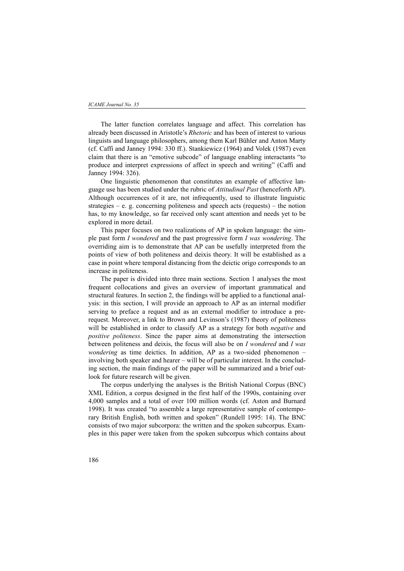#### *ICAME Journal No. 35*

The latter function correlates language and affect. This correlation has already been discussed in Aristotle's *Rhetoric* and has been of interest to various linguists and language philosophers, among them Karl Bühler and Anton Marty (cf. Caffi and Janney 1994: 330 ff.). Stankiewicz (1964) and Volek (1987) even claim that there is an "emotive subcode" of language enabling interactants "to produce and interpret expressions of affect in speech and writing" (Caffi and Janney 1994: 326).

One linguistic phenomenon that constitutes an example of affective language use has been studied under the rubric of *Attitudinal Past* (henceforth AP). Although occurrences of it are, not infrequently, used to illustrate linguistic strategies – e. g. concerning politeness and speech acts (requests) – the notion has, to my knowledge, so far received only scant attention and needs yet to be explored in more detail.

This paper focuses on two realizations of AP in spoken language: the simple past form *I wondered* and the past progressive form *I was wondering*. The overriding aim is to demonstrate that AP can be usefully interpreted from the points of view of both politeness and deixis theory. It will be established as a case in point where temporal distancing from the deictic origo corresponds to an increase in politeness.

The paper is divided into three main sections. Section 1 analyses the most frequent collocations and gives an overview of important grammatical and structural features. In section 2, the findings will be applied to a functional analysis: in this section, I will provide an approach to AP as an internal modifier serving to preface a request and as an external modifier to introduce a prerequest. Moreover, a link to Brown and Levinson's (1987) theory of politeness will be established in order to classify AP as a strategy for both *negative* and *positive politeness*. Since the paper aims at demonstrating the intersection between politeness and deixis, the focus will also be on *I wondered* and *I was wondering* as time deictics. In addition, AP as a two-sided phenomenon – involving both speaker and hearer – will be of particular interest. In the concluding section, the main findings of the paper will be summarized and a brief outlook for future research will be given.

The corpus underlying the analyses is the British National Corpus (BNC) XML Edition, a corpus designed in the first half of the 1990s, containing over 4,000 samples and a total of over 100 million words (cf. Aston and Burnard 1998). It was created "to assemble a large representative sample of contemporary British English, both written and spoken" (Rundell 1995: 14). The BNC consists of two major subcorpora: the written and the spoken subcorpus. Examples in this paper were taken from the spoken subcorpus which contains about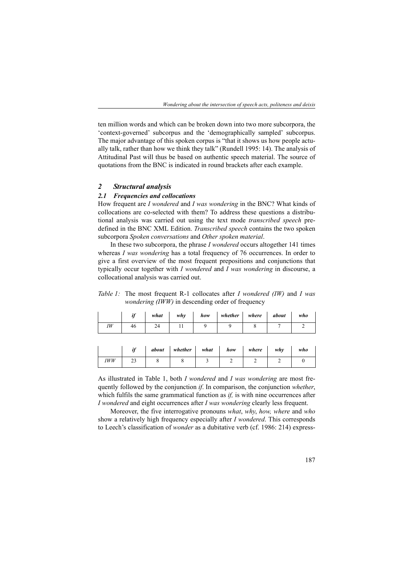ten million words and which can be broken down into two more subcorpora, the 'context-governed' subcorpus and the 'demographically sampled' subcorpus. The major advantage of this spoken corpus is "that it shows us how people actually talk, rather than how we think they talk" (Rundell 1995: 14). The analysis of Attitudinal Past will thus be based on authentic speech material. The source of quotations from the BNC is indicated in round brackets after each example.

#### *2 Structural analysis*

#### *2.1 Frequencies and collocations*

How frequent are *I wondered* and *I was wondering* in the BNC? What kinds of collocations are co-selected with them? To address these questions a distributional analysis was carried out using the text mode *transcribed speech* predefined in the BNC XML Edition. *Transcribed speech* contains the two spoken subcorpora *Spoken conversations* and *Other spoken material*.

In these two subcorpora, the phrase *I wondered* occurs altogether 141 times whereas *I was wondering* has a total frequency of 76 occurrences. In order to give a first overview of the most frequent prepositions and conjunctions that typically occur together with *I wondered* and *I was wondering* in discourse, a collocational analysis was carried out.

*Table 1:* The most frequent R-1 collocates after *I wondered (IW)* and *I was wondering (IWW)* in descending order of frequency

|    | ìf | what | why          | how | whether | where | about | who |
|----|----|------|--------------|-----|---------|-------|-------|-----|
| IW | 46 | 24   | $\mathbf{r}$ |     |         |       |       |     |

|            | $\cdot$ | about | whether | what | how | where | whv | who |
|------------|---------|-------|---------|------|-----|-------|-----|-----|
| <b>IWW</b> | رے      |       |         |      |     |       |     |     |

As illustrated in Table 1, both *I wondered* and *I was wondering* are most frequently followed by the conjunction *if*. In comparison, the conjunction *whether*, which fulfils the same grammatical function as *if*, is with nine occurrences after *I wondered* and eight occurrences after *I was wondering* clearly less frequent.

Moreover, the five interrogative pronouns *what*, *why*, *how, where* and *who* show a relatively high frequency especially after *I wondered*. This corresponds to Leech's classification of *wonder* as a dubitative verb (cf. 1986: 214) express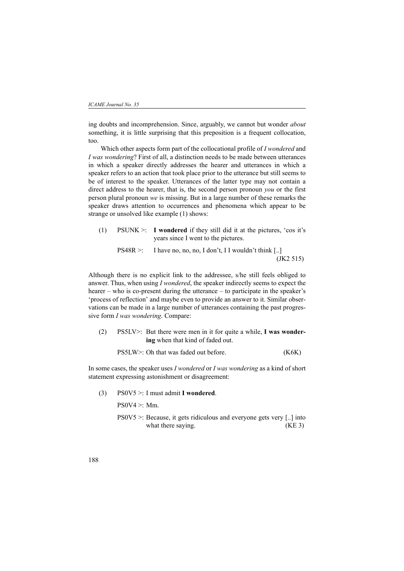ing doubts and incomprehension. Since, arguably, we cannot but wonder *about* something, it is little surprising that this preposition is a frequent collocation, too.

Which other aspects form part of the collocational profile of *I wondered* and *I was wondering*? First of all, a distinction needs to be made between utterances in which a speaker directly addresses the hearer and utterances in which a speaker refers to an action that took place prior to the utterance but still seems to be of interest to the speaker. Utterances of the latter type may not contain a direct address to the hearer, that is, the second person pronoun *you* or the first person plural pronoun *we* is missing. But in a large number of these remarks the speaker draws attention to occurrences and phenomena which appear to be strange or unsolved like example (1) shows:

(1) PSUNK >: **I wondered** if they still did it at the pictures, 'cos it's years since I went to the pictures.

$$
PS48R >:\n\text{ I have no, no, no, I don't, I I wouldn't think } [\dots]\n\tag{JK2 515}
$$

Although there is no explicit link to the addressee, s/he still feels obliged to answer. Thus, when using *I wondered*, the speaker indirectly seems to expect the hearer – who is co-present during the utterance – to participate in the speaker's 'process of reflection' and maybe even to provide an answer to it. Similar observations can be made in a large number of utterances containing the past progressive form *I was wondering*. Compare:

(2) PS5LV>: But there were men in it for quite a while, **I was wondering** when that kind of faded out.

| PS5LW>: Oh that was faded out before. | (K6K) |
|---------------------------------------|-------|
|---------------------------------------|-------|

In some cases, the speaker uses *I wondered* or *I was wondering* as a kind of short statement expressing astonishment or disagreement:

(3) PS0V5 >: I must admit **I wondered**.

 $PS0V4 \geq Mm$ .

PS0V5 >: Because, it gets ridiculous and everyone gets very [..] into what there saying. (KE 3)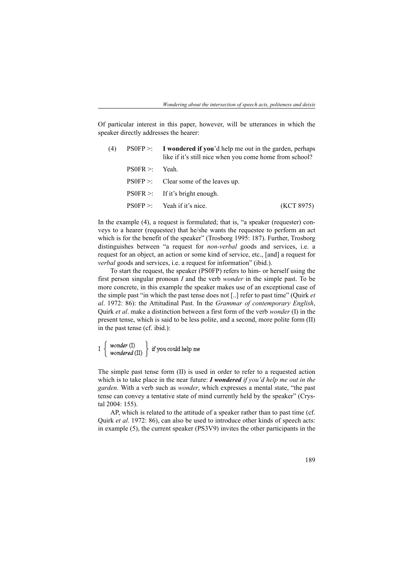Of particular interest in this paper, however, will be utterances in which the speaker directly addresses the hearer:

| (4) |                  | $PS0FP$ >: I wondered if you'd help me out in the garden, perhaps<br>like if it's still nice when you come home from school? |            |
|-----|------------------|------------------------------------------------------------------------------------------------------------------------------|------------|
|     | $PS0FR >:$ Yeah. |                                                                                                                              |            |
|     |                  | $\text{PS0FP}$ >: Clear some of the leaves up.                                                                               |            |
|     |                  | $\text{PS0FR}$ >: If it's bright enough.                                                                                     |            |
|     |                  | $PSOFP >:$ Yeah if it's nice.                                                                                                | (KCT 8975) |

In the example (4), a request is formulated; that is, "a speaker (requester) conveys to a hearer (requestee) that he/she wants the requestee to perform an act which is for the benefit of the speaker" (Trosborg 1995: 187). Further, Trosborg distinguishes between "a request for *non-verbal* goods and services, i.e. a request for an object, an action or some kind of service, etc., [and] a request for *verbal* goods and services, i.e. a request for information" (ibid.).

To start the request, the speaker (PS0FP) refers to him- or herself using the first person singular pronoun *I* and the verb *wonder* in the simple past. To be more concrete, in this example the speaker makes use of an exceptional case of the simple past "in which the past tense does not [..] refer to past time" (Quirk *et al*. 1972: 86): the Attitudinal Past. In the *Grammar of contemporary English*, Quirk *et al*. make a distinction between a first form of the verb *wonder* (I) in the present tense, which is said to be less polite, and a second, more polite form (II) in the past tense (cf. ibid.):

 $\text{I}~\left\{\begin{array}{l} \textit{wonder}\ (\text{I}) \\ \textit{wondered}\ (\text{II}) \end{array}\right\}~\text{if you could help me}$ 

The simple past tense form (II) is used in order to refer to a requested action which is to take place in the near future: *I wondered if you'd help me out in the garden*. With a verb such as *wonder*, which expresses a mental state, "the past tense can convey a tentative state of mind currently held by the speaker" (Crystal 2004: 155).

AP, which is related to the attitude of a speaker rather than to past time (cf. Quirk *et al*. 1972: 86), can also be used to introduce other kinds of speech acts: in example (5), the current speaker (PS3V9) invites the other participants in the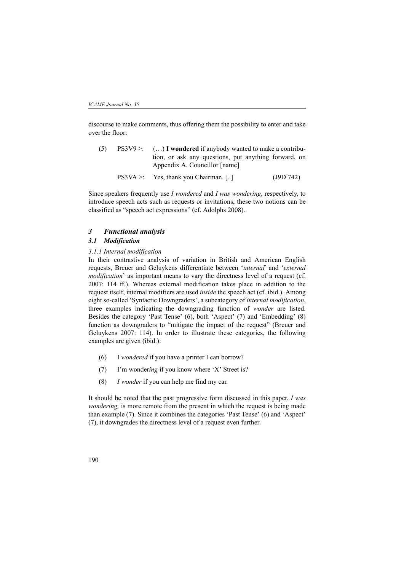discourse to make comments, thus offering them the possibility to enter and take over the floor:

- (5) PS3V9 >: (…) **I wondered** if anybody wanted to make a contribution, or ask any questions, put anything forward, on Appendix A. Councillor [name]
	- PS3VA >: Yes, thank you Chairman. [..] (J9D 742)

Since speakers frequently use *I wondered* and *I was wondering*, respectively, to introduce speech acts such as requests or invitations, these two notions can be classified as "speech act expressions" (cf. Adolphs 2008).

## *3 Functional analysis*

### *3.1 Modification*

#### *3.1.1 Internal modification*

In their contrastive analysis of variation in British and American English requests, Breuer and Geluykens differentiate between '*internal*' and '*external modification*' as important means to vary the directness level of a request (cf. 2007: 114 ff.). Whereas external modification takes place in addition to the request itself, internal modifiers are used *inside* the speech act (cf. ibid.). Among eight so-called 'Syntactic Downgraders', a subcategory of *internal modification*, three examples indicating the downgrading function of *wonder* are listed. Besides the category 'Past Tense' (6), both 'Aspect' (7) and 'Embedding' (8) function as downgraders to "mitigate the impact of the request" (Breuer and Geluykens 2007: 114). In order to illustrate these categories, the following examples are given (ibid.):

- (6) I *wondered* if you have a printer I can borrow?
- (7) I'm wonder*ing* if you know where 'X' Street is?
- (8) *I wonder* if you can help me find my car.

It should be noted that the past progressive form discussed in this paper, *I was wondering,* is more remote from the present in which the request is being made than example (7). Since it combines the categories 'Past Tense' (6) and 'Aspect' (7), it downgrades the directness level of a request even further.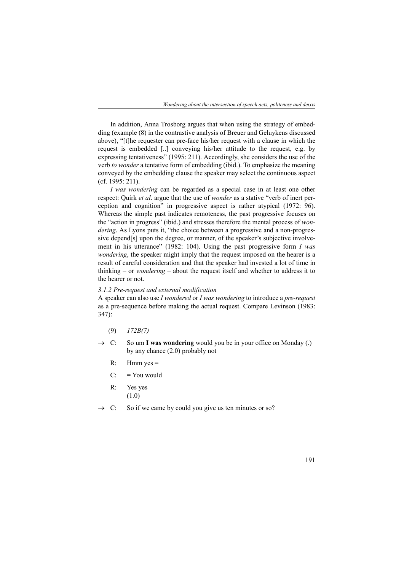In addition, Anna Trosborg argues that when using the strategy of embedding (example (8) in the contrastive analysis of Breuer and Geluykens discussed above), "[t]he requester can pre-face his/her request with a clause in which the request is embedded [..] conveying his/her attitude to the request, e.g. by expressing tentativeness" (1995: 211). Accordingly, she considers the use of the verb *to wonder* a tentative form of embedding (ibid.). To emphasize the meaning conveyed by the embedding clause the speaker may select the continuous aspect (cf. 1995: 211).

*I was wondering* can be regarded as a special case in at least one other respect: Quirk *et al*. argue that the use of *wonder* as a stative "verb of inert perception and cognition" in progressive aspect is rather atypical (1972: 96). Whereas the simple past indicates remoteness, the past progressive focuses on the "action in progress" (ibid.) and stresses therefore the mental process of *wondering*. As Lyons puts it, "the choice between a progressive and a non-progressive depend[s] upon the degree, or manner, of the speaker's subjective involvement in his utterance" (1982: 104). Using the past progressive form *I was wondering*, the speaker might imply that the request imposed on the hearer is a result of careful consideration and that the speaker had invested a lot of time in thinking – or *wondering* – about the request itself and whether to address it to the hearer or not.

#### *3.1.2 Pre-request and external modification*

A speaker can also use *I wondered* or *I was wondering* to introduce a *pre-request* as a pre-sequence before making the actual request. Compare Levinson (1983: 347):

- (9) *172B(7)*
- $\rightarrow$  C: So um **I was wondering** would you be in your office on Monday (.) by any chance (2.0) probably not
	- $R:$  Hmm yes  $=$
	- $C:$  = You would
	- R: Yes yes (1.0)
- $\rightarrow$  C: So if we came by could you give us ten minutes or so?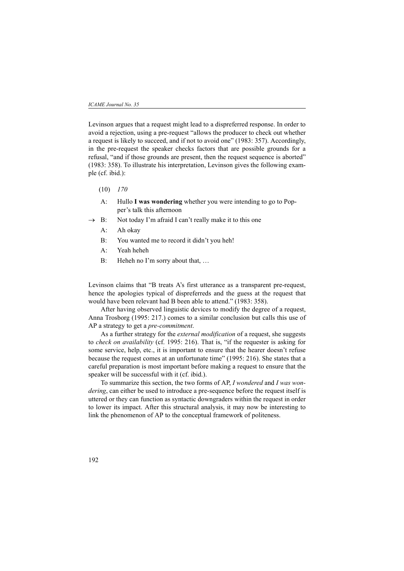Levinson argues that a request might lead to a dispreferred response. In order to avoid a rejection, using a pre-request "allows the producer to check out whether a request is likely to succeed, and if not to avoid one" (1983: 357). Accordingly, in the pre-request the speaker checks factors that are possible grounds for a refusal, "and if those grounds are present, then the request sequence is aborted" (1983: 358). To illustrate his interpretation, Levinson gives the following example (cf. ibid.):

- (10) *170*
- A: Hullo **I was wondering** whether you were intending to go to Popper's talk this afternoon
- B: Not today I'm afraid I can't really make it to this one
	- A: Ah okay
	- B: You wanted me to record it didn't you heh!
	- A: Yeah heheh
	- B: Heheh no I'm sorry about that, ...

Levinson claims that "B treats A's first utterance as a transparent pre-request, hence the apologies typical of dispreferreds and the guess at the request that would have been relevant had B been able to attend." (1983: 358).

After having observed linguistic devices to modify the degree of a request, Anna Trosborg (1995: 217.) comes to a similar conclusion but calls this use of AP a strategy to get a *pre-commitment*.

As a further strategy for the *external modification* of a request, she suggests to *check on availability* (cf. 1995: 216). That is, "if the requester is asking for some service, help, etc., it is important to ensure that the hearer doesn't refuse because the request comes at an unfortunate time" (1995: 216). She states that a careful preparation is most important before making a request to ensure that the speaker will be successful with it (cf. ibid.).

To summarize this section, the two forms of AP, *I wondered* and *I was wondering*, can either be used to introduce a pre-sequence before the request itself is uttered or they can function as syntactic downgraders within the request in order to lower its impact. After this structural analysis, it may now be interesting to link the phenomenon of AP to the conceptual framework of politeness.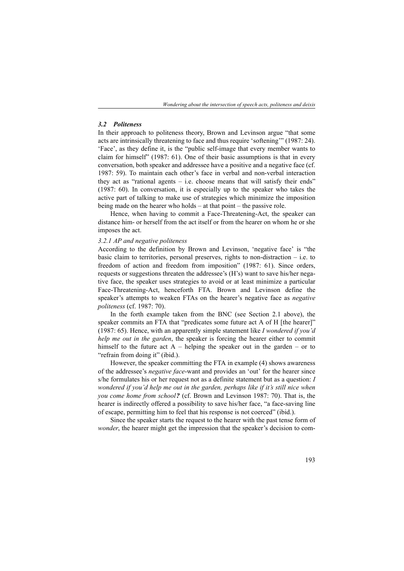### *3.2 Politeness*

In their approach to politeness theory, Brown and Levinson argue "that some acts are intrinsically threatening to face and thus require 'softening'" (1987: 24). 'Face', as they define it, is the "public self-image that every member wants to claim for himself" (1987: 61). One of their basic assumptions is that in every conversation, both speaker and addressee have a positive and a negative face (cf. 1987: 59). To maintain each other's face in verbal and non-verbal interaction they act as "rational agents  $-$  i.e. choose means that will satisfy their ends" (1987: 60). In conversation, it is especially up to the speaker who takes the active part of talking to make use of strategies which minimize the imposition being made on the hearer who holds – at that point – the passive role.

Hence, when having to commit a Face-Threatening-Act, the speaker can distance him- or herself from the act itself or from the hearer on whom he or she imposes the act.

#### *3.2.1 AP and negative politeness*

According to the definition by Brown and Levinson, 'negative face' is "the basic claim to territories, personal preserves, rights to non-distraction  $-$  i.e. to freedom of action and freedom from imposition" (1987: 61). Since orders, requests or suggestions threaten the addressee's (H's) want to save his/her negative face, the speaker uses strategies to avoid or at least minimize a particular Face-Threatening-Act, henceforth FTA. Brown and Levinson define the speaker's attempts to weaken FTAs on the hearer's negative face as *negative politeness* (cf. 1987: 70).

In the forth example taken from the BNC (see Section 2.1 above), the speaker commits an FTA that "predicates some future act A of H [the hearer]" (1987: 65). Hence, with an apparently simple statement like *I wondered if you'd help me out in the garden*, the speaker is forcing the hearer either to commit himself to the future act  $A$  – helping the speaker out in the garden – or to "refrain from doing it" (ibid.).

However, the speaker committing the FTA in example (4) shows awareness of the addressee's *negative face*-want and provides an 'out' for the hearer since s/he formulates his or her request not as a definite statement but as a question: *I wondered if you'd help me out in the garden, perhaps like if it's still nice when you come home from school?* (cf. Brown and Levinson 1987: 70). That is, the hearer is indirectly offered a possibility to save his/her face, "a face-saving line of escape, permitting him to feel that his response is not coerced" (ibid.).

Since the speaker starts the request to the hearer with the past tense form of *wonder*, the hearer might get the impression that the speaker's decision to com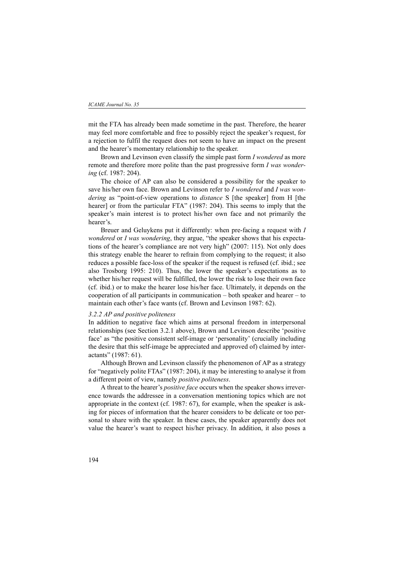mit the FTA has already been made sometime in the past. Therefore, the hearer may feel more comfortable and free to possibly reject the speaker's request, for a rejection to fulfil the request does not seem to have an impact on the present and the hearer's momentary relationship to the speaker.

Brown and Levinson even classify the simple past form *I wondered* as more remote and therefore more polite than the past progressive form *I was wondering* (cf. 1987: 204).

The choice of AP can also be considered a possibility for the speaker to save his/her own face. Brown and Levinson refer to *I wondered* and *I was wondering* as "point-of-view operations to *distance* S [the speaker] from H [the hearer] or from the particular FTA" (1987: 204). This seems to imply that the speaker's main interest is to protect his/her own face and not primarily the hearer's.

Breuer and Geluykens put it differently: when pre-facing a request with *I wondered* or *I was wondering*, they argue, "the speaker shows that his expectations of the hearer's compliance are not very high" (2007: 115). Not only does this strategy enable the hearer to refrain from complying to the request; it also reduces a possible face-loss of the speaker if the request is refused (cf. ibid.; see also Trosborg 1995: 210). Thus, the lower the speaker's expectations as to whether his/her request will be fulfilled, the lower the risk to lose their own face (cf. ibid.) or to make the hearer lose his/her face. Ultimately, it depends on the cooperation of all participants in communication – both speaker and hearer – to maintain each other's face wants (cf. Brown and Levinson 1987: 62).

### *3.2.2 AP and positive politeness*

In addition to negative face which aims at personal freedom in interpersonal relationships (see Section 3.2.1 above), Brown and Levinson describe 'positive face' as "the positive consistent self-image or 'personality' (crucially including the desire that this self-image be appreciated and approved of) claimed by interactants" (1987: 61).

Although Brown and Levinson classify the phenomenon of AP as a strategy for "negatively polite FTAs" (1987: 204), it may be interesting to analyse it from a different point of view, namely *positive politeness*.

A threat to the hearer's *positive face* occurs when the speaker shows irreverence towards the addressee in a conversation mentioning topics which are not appropriate in the context (cf. 1987: 67), for example, when the speaker is asking for pieces of information that the hearer considers to be delicate or too personal to share with the speaker. In these cases, the speaker apparently does not value the hearer's want to respect his/her privacy. In addition, it also poses a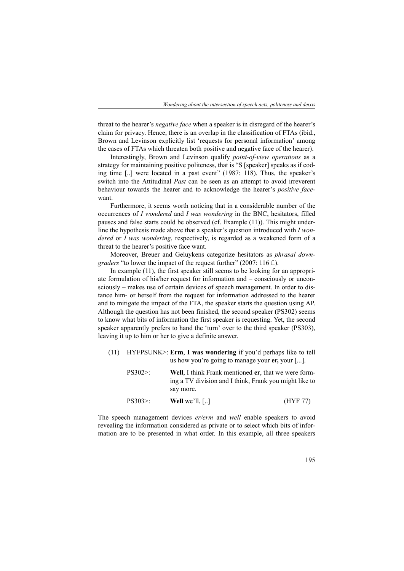threat to the hearer's *negative face* when a speaker is in disregard of the hearer's claim for privacy. Hence, there is an overlap in the classification of FTAs (ibid., Brown and Levinson explicitly list 'requests for personal information' among the cases of FTAs which threaten both positive and negative face of the hearer).

Interestingly, Brown and Levinson qualify *point-of-view operations* as a strategy for maintaining positive politeness, that is "S [speaker] speaks as if coding time [..] were located in a past event" (1987: 118). Thus, the speaker's switch into the Attitudinal *Past* can be seen as an attempt to avoid irreverent behaviour towards the hearer and to acknowledge the hearer's *positive face*want.

Furthermore, it seems worth noticing that in a considerable number of the occurrences of *I wondered* and *I was wondering* in the BNC, hesitators, filled pauses and false starts could be observed (cf. Example (11)). This might underline the hypothesis made above that a speaker's question introduced with *I wondered* or *I was wondering*, respectively, is regarded as a weakened form of a threat to the hearer's positive face want.

Moreover, Breuer and Geluykens categorize hesitators as *phrasal downgraders* "to lower the impact of the request further" (2007: 116 f.).

In example (11), the first speaker still seems to be looking for an appropriate formulation of his/her request for information and – consciously or unconsciously – makes use of certain devices of speech management. In order to distance him- or herself from the request for information addressed to the hearer and to mitigate the impact of the FTA, the speaker starts the question using AP. Although the question has not been finished, the second speaker (PS302) seems to know what bits of information the first speaker is requesting. Yet, the second speaker apparently prefers to hand the 'turn' over to the third speaker (PS303), leaving it up to him or her to give a definite answer.

(11) HYFPSUNK>: **Erm**, **I was wondering** if you'd perhaps like to tell us how you're going to manage your **er,** your [...].

| $PS302$ : | Well, I think Frank mentioned er, that we were form-   |          |
|-----------|--------------------------------------------------------|----------|
|           | ing a TV division and I think, Frank you might like to |          |
|           | say more.                                              |          |
| $PS303$ . | <b>Well</b> we'll, $\lceil \ldots \rceil$              | (HYF 77) |

The speech management devices *er/erm* and *well* enable speakers to avoid revealing the information considered as private or to select which bits of information are to be presented in what order. In this example, all three speakers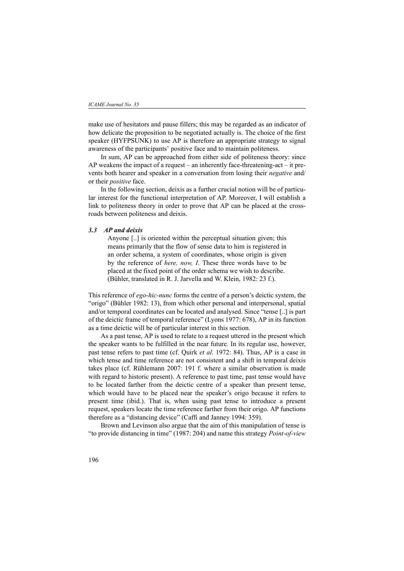make use of hesitators and pause fillers; this may be regarded as an indicator of how delicate the proposition to be negotiated actually is. The choice of the first speaker (HYFPSUNK) to use AP is therefore an appropriate strategy to signal awareness of the participants' positive face and to maintain politeness.

In sum, AP can be approached from either side of politeness theory: since AP weakens the impact of a request – an inherently face-threatening-act – it prevents both hearer and speaker in a conversation from losing their *negative* and/ or their *positive* face.

In the following section, deixis as a further crucial notion will be of particular interest for the functional interpretation of AP. Moreover, I will establish a link to politeness theory in order to prove that AP can be placed at the crossroads between politeness and deixis.

#### *3.3 AP and deixis*

Anyone [..] is oriented within the perceptual situation given; this means primarily that the flow of sense data to him is registered in an order schema, a system of coordinates, whose origin is given by the reference of *here, now, I*. These three words have to be placed at the fixed point of the order schema we wish to describe. (Bühler, translated in R. J. Jarvella and W. Klein, 1982: 23 f.).

This reference of *ego-hic-nunc* forms the centre of a person's deictic system, the "origo" (Bühler 1982: 13), from which other personal and interpersonal, spatial and/or temporal coordinates can be located and analysed. Since "tense [..] is part of the deictic frame of temporal reference" (Lyons 1977: 678), AP in its function as a time deictic will be of particular interest in this section.

As a past tense, AP is used to relate to a request uttered in the present which the speaker wants to be fulfilled in the near future. In its regular use, however, past tense refers to past time (cf. Quirk *et al*. 1972: 84). Thus, AP is a case in which tense and time reference are not consistent and a shift in temporal deixis takes place (cf. Rühlemann 2007: 191 f. where a similar observation is made with regard to historic present). A reference to past time, past tense would have to be located farther from the deictic centre of a speaker than present tense, which would have to be placed near the speaker's origo because it refers to present time (ibid.). That is, when using past tense to introduce a present request, speakers locate the time reference farther from their origo. AP functions therefore as a "distancing device" (Caffi and Janney 1994: 359).

Brown and Levinson also argue that the aim of this manipulation of tense is "to provide distancing in time" (1987: 204) and name this strategy *Point-of-view*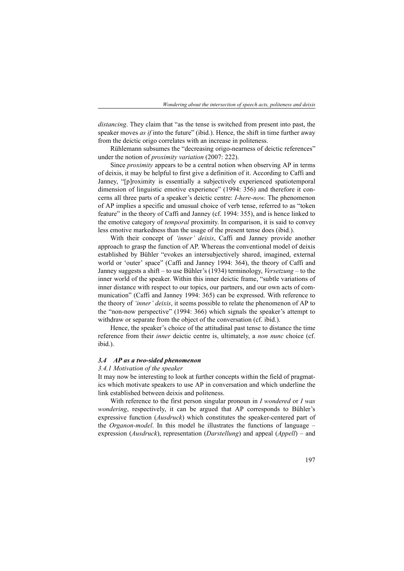*distancing*. They claim that "as the tense is switched from present into past, the speaker moves *as if* into the future" (ibid.). Hence, the shift in time further away from the deictic origo correlates with an increase in politeness.

Rühlemann subsumes the "decreasing origo-nearness of deictic references" under the notion of *proximity variation* (2007: 222).

Since *proximity* appears to be a central notion when observing AP in terms of deixis, it may be helpful to first give a definition of it. According to Caffi and Janney, "[p]roximity is essentially a subjectively experienced spatiotemporal dimension of linguistic emotive experience" (1994: 356) and therefore it concerns all three parts of a speaker's deictic centre: *I-here-now*. The phenomenon of AP implies a specific and unusual choice of verb tense, referred to as "token feature" in the theory of Caffi and Janney (cf. 1994: 355), and is hence linked to the emotive category of *temporal* proximity. In comparison, it is said to convey less emotive markedness than the usage of the present tense does (ibid.).

With their concept of *'inner' deixis*, Caffi and Janney provide another approach to grasp the function of AP. Whereas the conventional model of deixis established by Bühler "evokes an intersubjectively shared, imagined, external world or 'outer' space" (Caffi and Janney 1994: 364), the theory of Caffi and Janney suggests a shift – to use Bühler's (1934) terminology, *Versetzung* – to the inner world of the speaker. Within this inner deictic frame, "subtle variations of inner distance with respect to our topics, our partners, and our own acts of communication" (Caffi and Janney 1994: 365) can be expressed. With reference to the theory of *'inner' deixis*, it seems possible to relate the phenomenon of AP to the "non-now perspective" (1994: 366) which signals the speaker's attempt to withdraw or separate from the object of the conversation (cf. ibid.).

Hence, the speaker's choice of the attitudinal past tense to distance the time reference from their *inner* deictic centre is, ultimately, a *non nunc* choice (cf. ibid.).

#### *3.4 AP as a two-sided phenomenon*

#### *3.4.1 Motivation of the speaker*

It may now be interesting to look at further concepts within the field of pragmatics which motivate speakers to use AP in conversation and which underline the link established between deixis and politeness.

With reference to the first person singular pronoun in *I wondered* or *I was wondering*, respectively, it can be argued that AP corresponds to Bühler's expressive function (*Ausdruck*) which constitutes the speaker-centered part of the *Organon-model*. In this model he illustrates the functions of language – expression (*Ausdruck*), representation (*Darstellung*) and appeal (*Appell*) – and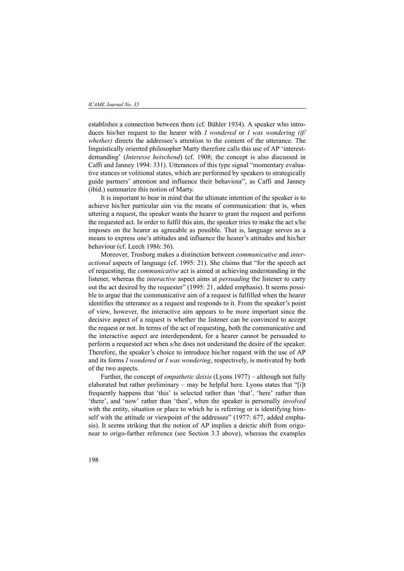establishes a connection between them (cf. Bühler 1934). A speaker who introduces his/her request to the hearer with *I wondered* or *I was wondering (if/ whether)* directs the addressee's attention to the content of the utterance. The linguistically oriented philosopher Marty therefore calls this use of AP 'interestdemanding' (*Interesse heischend*) (cf. 1908; the concept is also discussed in Caffi and Janney 1994: 331). Utterances of this type signal "momentary evaluative stances or volitional states, which are performed by speakers to strategically guide partners' attention and influence their behaviour", as Caffi and Janney (ibid.) summarize this notion of Marty.

It is important to bear in mind that the ultimate intention of the speaker is to achieve his/her particular aim via the means of communication: that is, when uttering a request, the speaker wants the hearer to grant the request and perform the requested act. In order to fulfil this aim, the speaker tries to make the act s/he imposes on the hearer as agreeable as possible. That is, language serves as a means to express one's attitudes and influence the hearer's attitudes and his/her behaviour (cf. Leech 1986: 56).

Moreover, Trosborg makes a distinction between *communicative* and *interactional* aspects of language (cf. 1995: 21). She claims that "for the speech act of requesting, the *communicative* act is aimed at achieving understanding in the listener, whereas the *interactive* aspect aims at *persuading* the listener to carry out the act desired by the requester" (1995: 21, added emphasis). It seems possible to argue that the communicative aim of a request is fulfilled when the hearer identifies the utterance as a request and responds to it. From the speaker's point of view, however, the interactive aim appears to be more important since the decisive aspect of a request is whether the listener can be convinced to accept the request or not. In terms of the act of requesting, both the communicative and the interactive aspect are interdependent, for a hearer cannot be persuaded to perform a requested act when s/he does not understand the desire of the speaker. Therefore, the speaker's choice to introduce his/her request with the use of AP and its forms *I wondered* or *I was wondering*, respectively, is motivated by both of the two aspects.

Further, the concept of *empathetic deixis* (Lyons 1977) – although not fully elaborated but rather preliminary – may be helpful here. Lyons states that "[i]t frequently happens that 'this' is selected rather than 'that', 'here' rather than 'there', and 'now' rather than 'then', when the speaker is personally *involved* with the entity, situation or place to which he is referring or is identifying himself with the attitude or viewpoint of the addressee" (1977: 677, added emphasis). It seems striking that the notion of AP implies a deictic shift from origonear to origo-farther reference (see Section 3.3 above), whereas the examples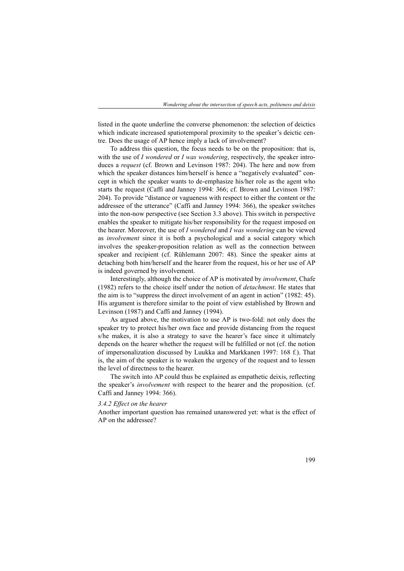listed in the quote underline the converse phenomenon: the selection of deictics which indicate increased spatiotemporal proximity to the speaker's deictic centre. Does the usage of AP hence imply a lack of involvement?

To address this question, the focus needs to be on the proposition: that is, with the use of *I wondered* or *I was wondering*, respectively, the speaker introduces a *request* (cf. Brown and Levinson 1987: 204). The here and now from which the speaker distances him/herself is hence a "negatively evaluated" concept in which the speaker wants to de-emphasize his/her role as the agent who starts the request (Caffi and Janney 1994: 366; cf. Brown and Levinson 1987: 204). To provide "distance or vagueness with respect to either the content or the addressee of the utterance" (Caffi and Janney 1994: 366), the speaker switches into the non-now perspective (see Section 3.3 above). This switch in perspective enables the speaker to mitigate his/her responsibility for the request imposed on the hearer. Moreover, the use of *I wondered* and *I was wondering* can be viewed as *involvement* since it is both a psychological and a social category which involves the speaker-proposition relation as well as the connection between speaker and recipient (cf. Rühlemann 2007: 48). Since the speaker aims at detaching both him/herself and the hearer from the request, his or her use of AP is indeed governed by involvement.

Interestingly, although the choice of AP is motivated by *involvement*, Chafe (1982) refers to the choice itself under the notion of *detachment*. He states that the aim is to "suppress the direct involvement of an agent in action" (1982: 45). His argument is therefore similar to the point of view established by Brown and Levinson (1987) and Caffi and Janney (1994).

As argued above, the motivation to use AP is two-fold: not only does the speaker try to protect his/her own face and provide distancing from the request s/he makes, it is also a strategy to save the hearer's face since it ultimately depends on the hearer whether the request will be fulfilled or not (cf. the notion of impersonalization discussed by Luukka and Markkanen 1997: 168 f.). That is, the aim of the speaker is to weaken the urgency of the request and to lessen the level of directness to the hearer.

The switch into AP could thus be explained as empathetic deixis, reflecting the speaker's *involvement* with respect to the hearer and the proposition. (cf. Caffi and Janney 1994: 366).

#### *3.4.2 Effect on the hearer*

Another important question has remained unanswered yet: what is the effect of AP on the addressee?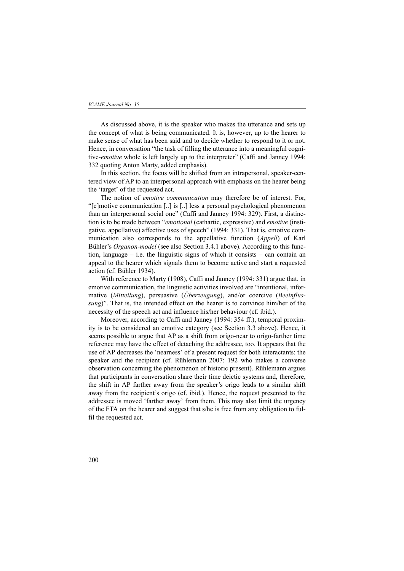#### *ICAME Journal No. 35*

As discussed above, it is the speaker who makes the utterance and sets up the concept of what is being communicated. It is, however, up to the hearer to make sense of what has been said and to decide whether to respond to it or not. Hence, in conversation "the task of filling the utterance into a meaningful cognitive-*emotive* whole is left largely up to the interpreter" (Caffi and Janney 1994: 332 quoting Anton Marty, added emphasis).

In this section, the focus will be shifted from an intrapersonal, speaker-centered view of AP to an interpersonal approach with emphasis on the hearer being the 'target' of the requested act.

The notion of *emotive communication* may therefore be of interest. For, "[e]motive communication [..] is [..] less a personal psychological phenomenon than an interpersonal social one" (Caffi and Janney 1994: 329). First, a distinction is to be made between "*emotional* (cathartic, expressive) and *emotive* (instigative, appellative) affective uses of speech" (1994: 331). That is, emotive communication also corresponds to the appellative function (*Appell*) of Karl Bühler's *Organon-model* (see also Section 3.4.1 above). According to this function, language – i.e. the linguistic signs of which it consists – can contain an appeal to the hearer which signals them to become active and start a requested action (cf. Bühler 1934).

With reference to Marty (1908), Caffi and Janney (1994: 331) argue that, in emotive communication, the linguistic activities involved are "intentional, informative (*Mitteilung*), persuasive (*Überzeugung*), and/or coercive (*Beeinflussung*)". That is, the intended effect on the hearer is to convince him/her of the necessity of the speech act and influence his/her behaviour (cf. ibid.).

Moreover, according to Caffi and Janney (1994: 354 ff.), temporal proximity is to be considered an emotive category (see Section 3.3 above). Hence, it seems possible to argue that AP as a shift from origo-near to origo-farther time reference may have the effect of detaching the addressee, too. It appears that the use of AP decreases the 'nearness' of a present request for both interactants: the speaker and the recipient (cf. Rühlemann 2007: 192 who makes a converse observation concerning the phenomenon of historic present). Rühlemann argues that participants in conversation share their time deictic systems and, therefore, the shift in AP farther away from the speaker's origo leads to a similar shift away from the recipient's origo (cf. ibid.). Hence, the request presented to the addressee is moved 'farther away' from them. This may also limit the urgency of the FTA on the hearer and suggest that s/he is free from any obligation to fulfil the requested act.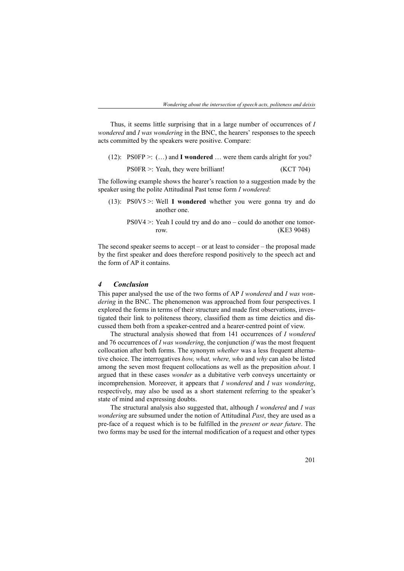Thus, it seems little surprising that in a large number of occurrences of *I wondered* and *I was wondering* in the BNC, the hearers' responses to the speech acts committed by the speakers were positive. Compare:

| $(12)$ : PS0FP >: $()$ and <b>I</b> wondered  were them cards alright for you? |           |
|--------------------------------------------------------------------------------|-----------|
| $PS0FR >:$ Yeah, they were brilliant!                                          | (KCT 704) |

The following example shows the hearer's reaction to a suggestion made by the speaker using the polite Attitudinal Past tense form *I wondered*:

- (13): PS0V5 >: Well **I wondered** whether you were gonna try and do another one.
	- PS0V4 >: Yeah I could try and do ano could do another one tomorrow. (KE3 9048)

The second speaker seems to accept – or at least to consider – the proposal made by the first speaker and does therefore respond positively to the speech act and the form of AP it contains.

### *4 Conclusion*

This paper analysed the use of the two forms of AP *I wondered* and *I was wondering* in the BNC. The phenomenon was approached from four perspectives. I explored the forms in terms of their structure and made first observations, investigated their link to politeness theory, classified them as time deictics and discussed them both from a speaker-centred and a hearer-centred point of view.

The structural analysis showed that from 141 occurrences of *I wondered* and 76 occurrences of *I was wondering*, the conjunction *if* was the most frequent collocation after both forms. The synonym *whether* was a less frequent alternative choice. The interrogatives *how, what, where, who* and *why* can also be listed among the seven most frequent collocations as well as the preposition *about*. I argued that in these cases *wonder* as a dubitative verb conveys uncertainty or incomprehension. Moreover, it appears that *I wondered* and *I was wondering*, respectively, may also be used as a short statement referring to the speaker's state of mind and expressing doubts.

The structural analysis also suggested that, although *I wondered* and *I was wondering* are subsumed under the notion of Attitudinal *Past*, they are used as a pre-face of a request which is to be fulfilled in the *present or near future*. The two forms may be used for the internal modification of a request and other types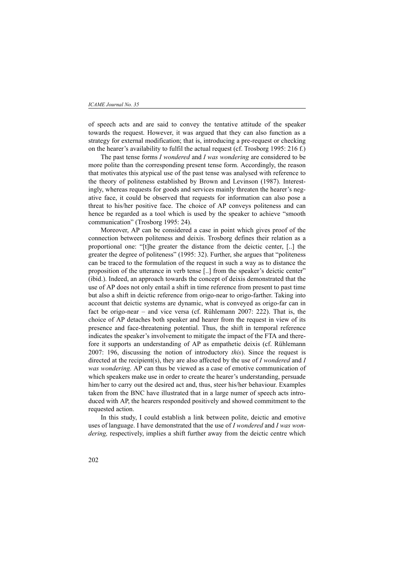of speech acts and are said to convey the tentative attitude of the speaker towards the request. However, it was argued that they can also function as a strategy for external modification; that is, introducing a pre-request or checking on the hearer's availability to fulfil the actual request (cf. Trosborg 1995: 216 f.)

The past tense forms *I wondered* and *I was wondering* are considered to be more polite than the corresponding present tense form. Accordingly, the reason that motivates this atypical use of the past tense was analysed with reference to the theory of politeness established by Brown and Levinson (1987). Interestingly, whereas requests for goods and services mainly threaten the hearer's negative face, it could be observed that requests for information can also pose a threat to his/her positive face. The choice of AP conveys politeness and can hence be regarded as a tool which is used by the speaker to achieve "smooth communication" (Trosborg 1995: 24).

Moreover, AP can be considered a case in point which gives proof of the connection between politeness and deixis. Trosborg defines their relation as a proportional one: "[t]he greater the distance from the deictic center, [..] the greater the degree of politeness" (1995: 32). Further, she argues that "politeness can be traced to the formulation of the request in such a way as to distance the proposition of the utterance in verb tense [..] from the speaker's deictic center" (ibid.). Indeed, an approach towards the concept of deixis demonstrated that the use of AP does not only entail a shift in time reference from present to past time but also a shift in deictic reference from origo-near to origo-farther. Taking into account that deictic systems are dynamic, what is conveyed as origo-far can in fact be origo-near – and vice versa (cf. Rühlemann 2007: 222). That is, the choice of AP detaches both speaker and hearer from the request in view of its presence and face-threatening potential. Thus, the shift in temporal reference indicates the speaker's involvement to mitigate the impact of the FTA and therefore it supports an understanding of AP as empathetic deixis (cf. Rühlemann 2007: 196, discussing the notion of introductory *this*). Since the request is directed at the recipient(s), they are also affected by the use of *I wondered* and *I was wondering*. AP can thus be viewed as a case of emotive communication of which speakers make use in order to create the hearer's understanding, persuade him/her to carry out the desired act and, thus, steer his/her behaviour. Examples taken from the BNC have illustrated that in a large numer of speech acts introduced with AP, the hearers responded positively and showed commitment to the requested action.

In this study, I could establish a link between polite, deictic and emotive uses of language. I have demonstrated that the use of *I wondered* and *I was wondering,* respectively, implies a shift further away from the deictic centre which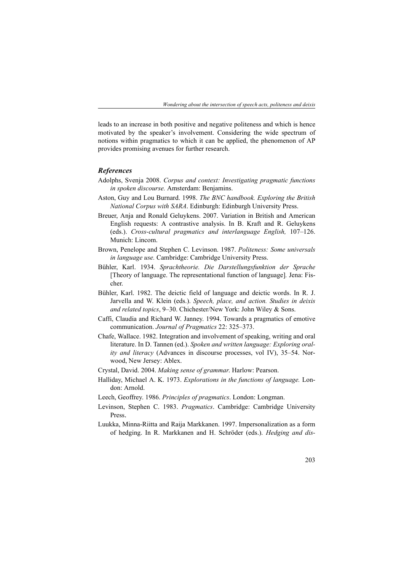leads to an increase in both positive and negative politeness and which is hence motivated by the speaker's involvement. Considering the wide spectrum of notions within pragmatics to which it can be applied, the phenomenon of AP provides promising avenues for further research.

#### *References*

- Adolphs, Svenja 2008. *Corpus and context: Investigating pragmatic functions in spoken discourse.* Amsterdam: Benjamins.
- Aston, Guy and Lou Burnard. 1998. *The BNC handbook. Exploring the British National Corpus with SARA*. Edinburgh: Edinburgh University Press.
- Breuer, Anja and Ronald Geluykens. 2007. Variation in British and American English requests: A contrastive analysis. In B. Kraft and R. Geluykens (eds.). *Cross-cultural pragmatics and interlanguage English,* 107–126. Munich: Lincom.
- Brown, Penelope and Stephen C. Levinson. 1987. *Politeness: Some universals in language use.* Cambridge: Cambridge University Press.
- Bühler, Karl. 1934. *Sprachtheorie. Die Darstellungsfunktion der Sprache* [Theory of language. The representational function of language]*.* Jena: Fischer.
- Bühler, Karl. 1982. The deictic field of language and deictic words. In R. J. Jarvella and W. Klein (eds.). *Speech, place, and action. Studies in deixis and related topics*, 9–30. Chichester/New York: John Wiley & Sons.
- Caffi, Claudia and Richard W. Janney. 1994. Towards a pragmatics of emotive communication. *Journal of Pragmatics* 22: 325–373.
- Chafe, Wallace. 1982. Integration and involvement of speaking, writing and oral literature. In D. Tannen (ed.). *Spoken and written language: Exploring orality and literacy* (Advances in discourse processes, vol IV), 35–54. Norwood, New Jersey: Ablex.
- Crystal, David. 2004. *Making sense of grammar*. Harlow: Pearson.
- Halliday, Michael A. K. 1973. *Explorations in the functions of language.* London: Arnold.
- Leech, Geoffrey. 1986. *Principles of pragmatics*. London: Longman.
- Levinson, Stephen C. 1983. *Pragmatics*. Cambridge: Cambridge University Press.
- Luukka, Minna-Riitta and Raija Markkanen. 1997. Impersonalization as a form of hedging. In R. Markkanen and H. Schröder (eds.). *Hedging and dis-*